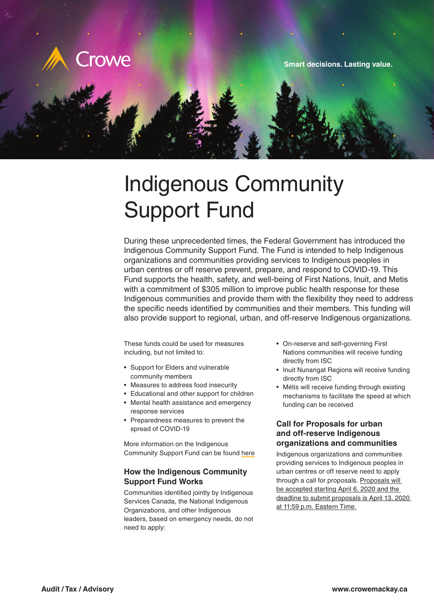

# Indigenous Community Support Fund

During these unprecedented times, the Federal Government has introduced the Indigenous Community Support Fund. The Fund is intended to help Indigenous organizations and communities providing services to Indigenous peoples in urban centres or off reserve prevent, prepare, and respond to COVID-19. This Fund supports the health, safety, and well-being of First Nations, Inuit, and Metis with a commitment of \$305 million to improve public health response for these Indigenous communities and provide them with the flexibility they need to address the specific needs identified by communities and their members. This funding will also provide support to regional, urban, and off-reserve Indigenous organizations.

These funds could be used for measures including, but not limited to:

- Support for Elders and vulnerable community members
- Measures to address food insecurity
- Educational and other support for children
- Mental health assistance and emergency
- response services • Preparedness measures to prevent the
- spread of COVID-19

More information on the Indigenous Community Support Fund can be found [here](https://www.sac-isc.gc.ca/eng/1585189335380/1585189357198)

## **How the Indigenous Community Support Fund Works**

Communities identified jointly by Indigenous Services Canada, the National Indigenous Organizations, and other Indigenous leaders, based on emergency needs, do not need to apply:

- On-reserve and self-governing First Nations communities will receive funding directly from ISC
- Inuit Nunangat Regions will receive funding directly from ISC
- Métis will receive funding through existing mechanisms to facilitate the speed at which funding can be received

### **Call for Proposals for urban and off-reserve Indigenous organizations and communities**

Indigenous organizations and communities providing services to Indigenous peoples in urban centres or off reserve need to apply through a call for proposals. Proposals will be accepted starting April 6, 2020 and the deadline to submit proposals is April 13, 2020 at 11:59 p.m. Eastern Time.